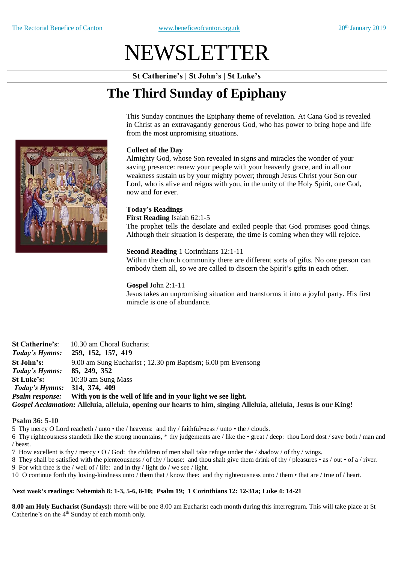# NEWSLETTER

**St Catherine's | St John's | St Luke's**

# **The Third Sunday of Epiphany**

This Sunday continues the Epiphany theme of revelation. At Cana God is revealed in Christ as an extravagantly generous God, who has power to bring hope and life from the most unpromising situations.

# **Collect of the Day**

Almighty God, whose Son revealed in signs and miracles the wonder of your saving presence: renew your people with your heavenly grace, and in all our weakness sustain us by your mighty power; through Jesus Christ your Son our Lord, who is alive and reigns with you, in the unity of the Holy Spirit, one God, now and for ever.

# **Today's Readings**

**First Reading** Isaiah 62:1-5 The prophet tells the desolate and exiled people that God promises good things. Although their situation is desperate, the time is coming when they will rejoice.

# **Second Reading** 1 Corinthians 12:1-11

Within the church community there are different sorts of gifts. No one person can embody them all, so we are called to discern the Spirit's gifts in each other.

# **Gospel** John 2:1-11

Jesus takes an unpromising situation and transforms it into a joyful party. His first miracle is one of abundance.

**St Catherine's**: 10.30 am Choral Eucharist *Today's Hymns:* **259, 152, 157, 419 St John's:** 9.00 am Sung Eucharist ; 12.30 pm Baptism; 6.00 pm Evensong *Today's Hymns:* **85, 249, 352 St Luke's:** 10:30 am Sung Mass *Today's Hymns:* **314, 374, 409** *Psalm response:* **With you is the well of life and in your light we see light.** *Gospel Acclamation:* **Alleluia, alleluia, opening our hearts to him, singing Alleluia, alleluia, Jesus is our King!**

#### **Psalm 36: 5-10**

5 Thy mercy O Lord reacheth / unto • the / heavens: and thy / faithful•ness / unto • the / clouds.

6 Thy righteousness standeth like the strong mountains, \* thy judgements are / like the • great / deep: thou Lord dost / save both / man and / beast.

7 How excellent is thy / mercy  $\cdot$  O / God: the children of men shall take refuge under the / shadow / of thy / wings.

8 They shall be satisfied with the plenteousness / of thy / house: and thou shalt give them drink of thy / pleasures • as / out • of a / river.

9 For with thee is the / well of / life: and in thy / light do / we see / light.

10 O continue forth thy loving-kindness unto / them that / know thee: and thy righteousness unto / them • that are / true of / heart.

# **Next week's readings: Nehemiah 8: 1-3, 5-6, 8-10; Psalm 19; 1 Corinthians 12: 12-31a; Luke 4: 14-21**

**8.00 am Holy Eucharist (Sundays):** there will be one 8.00 am Eucharist each month during this interregnum. This will take place at St Catherine's on the 4<sup>th</sup> Sunday of each month only.